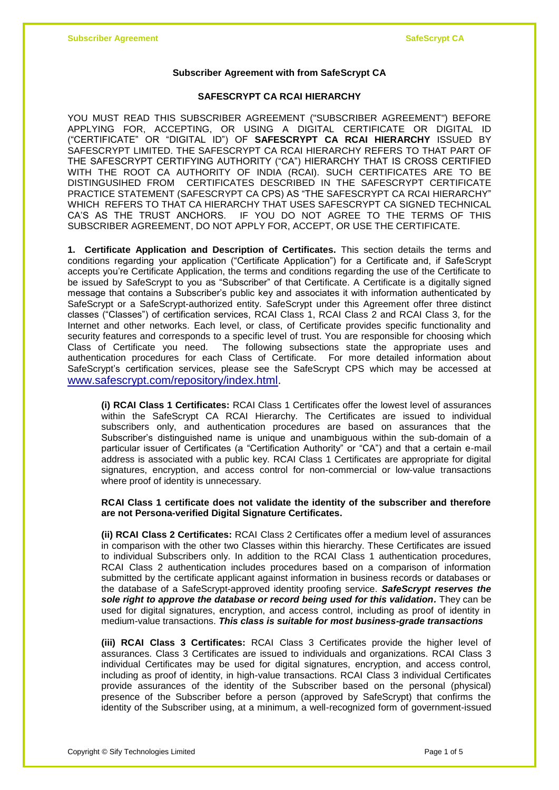## **Subscriber Agreement with from SafeScrypt CA**

## **SAFESCRYPT CA RCAI HIERARCHY**

YOU MUST READ THIS SUBSCRIBER AGREEMENT ("SUBSCRIBER AGREEMENT") BEFORE APPLYING FOR, ACCEPTING, OR USING A DIGITAL CERTIFICATE OR DIGITAL ID ("CERTIFICATE" OR "DIGITAL ID") OF **SAFESCRYPT CA RCAI HIERARCHY** ISSUED BY SAFESCRYPT LIMITED. THE SAFESCRYPT CA RCAI HIERARCHY REFERS TO THAT PART OF THE SAFESCRYPT CERTIFYING AUTHORITY ("CA") HIERARCHY THAT IS CROSS CERTIFIED WITH THE ROOT CA AUTHORITY OF INDIA (RCAI). SUCH CERTIFICATES ARE TO BE DISTINGUSIHED FROM CERTIFICATES DESCRIBED IN THE SAFESCRYPT CERTIFICATE PRACTICE STATEMENT (SAFESCRYPT CA CPS) AS "THE SAFESCRYPT CA RCAI HIERARCHY" WHICH REFERS TO THAT CA HIERARCHY THAT USES SAFESCRYPT CA SIGNED TECHNICAL CA'S AS THE TRUST ANCHORS. IF YOU DO NOT AGREE TO THE TERMS OF THIS SUBSCRIBER AGREEMENT, DO NOT APPLY FOR, ACCEPT, OR USE THE CERTIFICATE.

**1. Certificate Application and Description of Certificates.** This section details the terms and conditions regarding your application ("Certificate Application") for a Certificate and, if SafeScrypt accepts you're Certificate Application, the terms and conditions regarding the use of the Certificate to be issued by SafeScrypt to you as "Subscriber" of that Certificate. A Certificate is a digitally signed message that contains a Subscriber's public key and associates it with information authenticated by SafeScrypt or a SafeScrypt-authorized entity. SafeScrypt under this Agreement offer three distinct classes ("Classes") of certification services, RCAI Class 1, RCAI Class 2 and RCAI Class 3, for the Internet and other networks. Each level, or class, of Certificate provides specific functionality and security features and corresponds to a specific level of trust. You are responsible for choosing which Class of Certificate you need. The following subsections state the appropriate uses and authentication procedures for each Class of Certificate. For more detailed information about SafeScrypt's certification services, please see the SafeScrypt CPS which may be accessed at [www.safescrypt.com/repository/index.html.](http://www.safescrypt.com/repository/index.html)

**(i) RCAI Class 1 Certificates:** RCAI Class 1 Certificates offer the lowest level of assurances within the SafeScrypt CA RCAI Hierarchy. The Certificates are issued to individual subscribers only, and authentication procedures are based on assurances that the Subscriber's distinguished name is unique and unambiguous within the sub-domain of a particular issuer of Certificates (a "Certification Authority" or "CA") and that a certain e-mail address is associated with a public key. RCAI Class 1 Certificates are appropriate for digital signatures, encryption, and access control for non-commercial or low-value transactions where proof of identity is unnecessary.

## **RCAI Class 1 certificate does not validate the identity of the subscriber and therefore are not Persona-verified Digital Signature Certificates.**

**(ii) RCAI Class 2 Certificates:** RCAI Class 2 Certificates offer a medium level of assurances in comparison with the other two Classes within this hierarchy. These Certificates are issued to individual Subscribers only. In addition to the RCAI Class 1 authentication procedures, RCAI Class 2 authentication includes procedures based on a comparison of information submitted by the certificate applicant against information in business records or databases or the database of a SafeScrypt-approved identity proofing service. *SafeScrypt reserves the sole right to approve the database or record being used for this validation.* They can be used for digital signatures, encryption, and access control, including as proof of identity in medium-value transactions. *This class is suitable for most business-grade transactions*

**(iii) RCAI Class 3 Certificates:** RCAI Class 3 Certificates provide the higher level of assurances. Class 3 Certificates are issued to individuals and organizations. RCAI Class 3 individual Certificates may be used for digital signatures, encryption, and access control, including as proof of identity, in high-value transactions. RCAI Class 3 individual Certificates provide assurances of the identity of the Subscriber based on the personal (physical) presence of the Subscriber before a person (approved by SafeScrypt) that confirms the identity of the Subscriber using, at a minimum, a well-recognized form of government-issued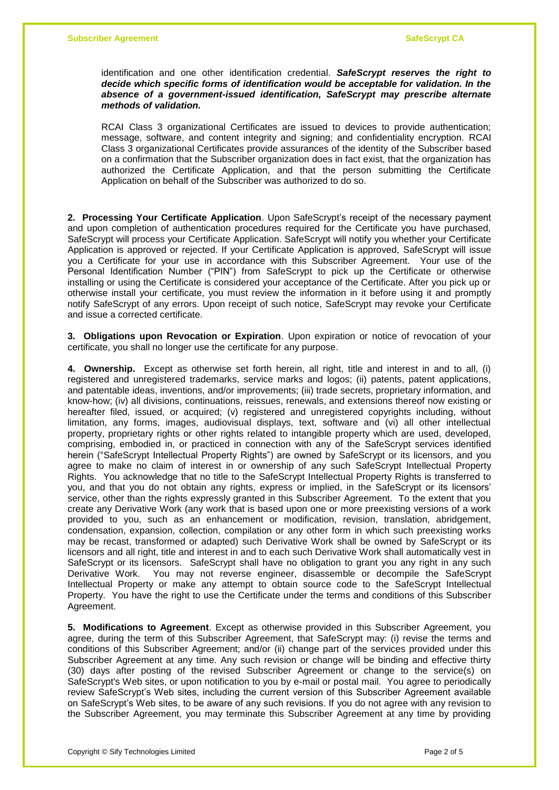identification and one other identification credential. *SafeScrypt reserves the right to decide which specific forms of identification would be acceptable for validation. In the absence of a government-issued identification, SafeScrypt may prescribe alternate methods of validation.*

RCAI Class 3 organizational Certificates are issued to devices to provide authentication; message, software, and content integrity and signing; and confidentiality encryption. RCAI Class 3 organizational Certificates provide assurances of the identity of the Subscriber based on a confirmation that the Subscriber organization does in fact exist, that the organization has authorized the Certificate Application, and that the person submitting the Certificate Application on behalf of the Subscriber was authorized to do so.

**2. Processing Your Certificate Application**. Upon SafeScrypt's receipt of the necessary payment and upon completion of authentication procedures required for the Certificate you have purchased, SafeScrypt will process your Certificate Application. SafeScrypt will notify you whether your Certificate Application is approved or rejected. If your Certificate Application is approved, SafeScrypt will issue you a Certificate for your use in accordance with this Subscriber Agreement. Your use of the Personal Identification Number ("PIN") from SafeScrypt to pick up the Certificate or otherwise installing or using the Certificate is considered your acceptance of the Certificate. After you pick up or otherwise install your certificate, you must review the information in it before using it and promptly notify SafeScrypt of any errors. Upon receipt of such notice, SafeScrypt may revoke your Certificate and issue a corrected certificate.

**3. Obligations upon Revocation or Expiration**. Upon expiration or notice of revocation of your certificate, you shall no longer use the certificate for any purpose.

**4. Ownership.** Except as otherwise set forth herein, all right, title and interest in and to all, (i) registered and unregistered trademarks, service marks and logos; (ii) patents, patent applications, and patentable ideas, inventions, and/or improvements; (iii) trade secrets, proprietary information, and know-how; (iv) all divisions, continuations, reissues, renewals, and extensions thereof now existing or hereafter filed, issued, or acquired; (v) registered and unregistered copyrights including, without limitation, any forms, images, audiovisual displays, text, software and (vi) all other intellectual property, proprietary rights or other rights related to intangible property which are used, developed, comprising, embodied in, or practiced in connection with any of the SafeScrypt services identified herein ("SafeScrypt Intellectual Property Rights") are owned by SafeScrypt or its licensors, and you agree to make no claim of interest in or ownership of any such SafeScrypt Intellectual Property Rights. You acknowledge that no title to the SafeScrypt Intellectual Property Rights is transferred to you, and that you do not obtain any rights, express or implied, in the SafeScrypt or its licensors' service, other than the rights expressly granted in this Subscriber Agreement. To the extent that you create any Derivative Work (any work that is based upon one or more preexisting versions of a work provided to you, such as an enhancement or modification, revision, translation, abridgement, condensation, expansion, collection, compilation or any other form in which such preexisting works may be recast, transformed or adapted) such Derivative Work shall be owned by SafeScrypt or its licensors and all right, title and interest in and to each such Derivative Work shall automatically vest in SafeScrypt or its licensors. SafeScrypt shall have no obligation to grant you any right in any such Derivative Work. You may not reverse engineer, disassemble or decompile the SafeScrypt Intellectual Property or make any attempt to obtain source code to the SafeScrypt Intellectual Property. You have the right to use the Certificate under the terms and conditions of this Subscriber Agreement.

**5. Modifications to Agreement**. Except as otherwise provided in this Subscriber Agreement, you agree, during the term of this Subscriber Agreement, that SafeScrypt may: (i) revise the terms and conditions of this Subscriber Agreement; and/or (ii) change part of the services provided under this Subscriber Agreement at any time. Any such revision or change will be binding and effective thirty (30) days after posting of the revised Subscriber Agreement or change to the service(s) on SafeScrypt's Web sites, or upon notification to you by e-mail or postal mail. You agree to periodically review SafeScrypt's Web sites, including the current version of this Subscriber Agreement available on SafeScrypt's Web sites, to be aware of any such revisions. If you do not agree with any revision to the Subscriber Agreement, you may terminate this Subscriber Agreement at any time by providing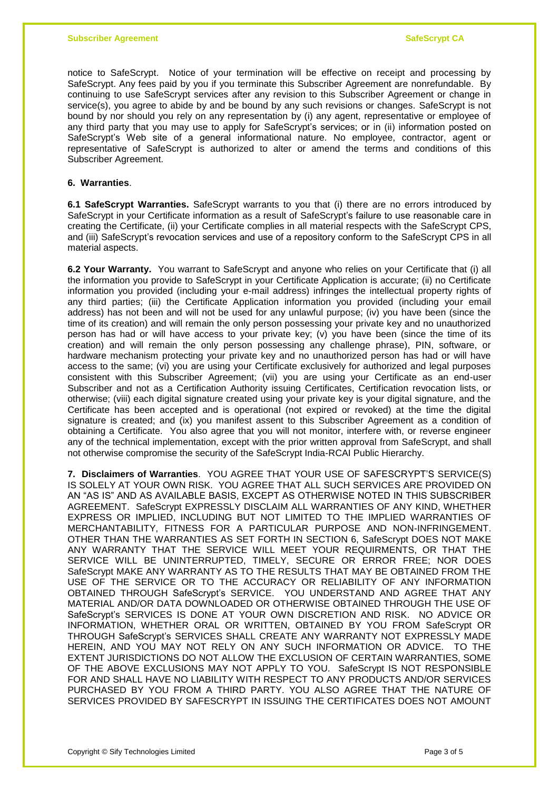notice to SafeScrypt. Notice of your termination will be effective on receipt and processing by SafeScrypt. Any fees paid by you if you terminate this Subscriber Agreement are nonrefundable. By continuing to use SafeScrypt services after any revision to this Subscriber Agreement or change in service(s), you agree to abide by and be bound by any such revisions or changes. SafeScrypt is not bound by nor should you rely on any representation by (i) any agent, representative or employee of any third party that you may use to apply for SafeScrypt's services; or in (ii) information posted on SafeScrypt's Web site of a general informational nature. No employee, contractor, agent or representative of SafeScrypt is authorized to alter or amend the terms and conditions of this Subscriber Agreement.

## **6. Warranties**.

**6.1 SafeScrypt Warranties.** SafeScrypt warrants to you that (i) there are no errors introduced by SafeScrypt in your Certificate information as a result of SafeScrypt's failure to use reasonable care in creating the Certificate, (ii) your Certificate complies in all material respects with the SafeScrypt CPS, and (iii) SafeScrypt's revocation services and use of a repository conform to the SafeScrypt CPS in all material aspects.

**6.2 Your Warranty.** You warrant to SafeScrypt and anyone who relies on your Certificate that (i) all the information you provide to SafeScrypt in your Certificate Application is accurate; (ii) no Certificate information you provided (including your e-mail address) infringes the intellectual property rights of any third parties; (iii) the Certificate Application information you provided (including your email address) has not been and will not be used for any unlawful purpose; (iv) you have been (since the time of its creation) and will remain the only person possessing your private key and no unauthorized person has had or will have access to your private key; (v) you have been (since the time of its creation) and will remain the only person possessing any challenge phrase), PIN, software, or hardware mechanism protecting your private key and no unauthorized person has had or will have access to the same; (vi) you are using your Certificate exclusively for authorized and legal purposes consistent with this Subscriber Agreement; (vii) you are using your Certificate as an end-user Subscriber and not as a Certification Authority issuing Certificates, Certification revocation lists, or otherwise; (viii) each digital signature created using your private key is your digital signature, and the Certificate has been accepted and is operational (not expired or revoked) at the time the digital signature is created; and (ix) you manifest assent to this Subscriber Agreement as a condition of obtaining a Certificate. You also agree that you will not monitor, interfere with, or reverse engineer any of the technical implementation, except with the prior written approval from SafeScrypt, and shall not otherwise compromise the security of the SafeScrypt India-RCAI Public Hierarchy.

**7. Disclaimers of Warranties**. YOU AGREE THAT YOUR USE OF SAFESCRYPT'S SERVICE(S) IS SOLELY AT YOUR OWN RISK. YOU AGREE THAT ALL SUCH SERVICES ARE PROVIDED ON AN "AS IS" AND AS AVAILABLE BASIS, EXCEPT AS OTHERWISE NOTED IN THIS SUBSCRIBER AGREEMENT. SafeScrypt EXPRESSLY DISCLAIM ALL WARRANTIES OF ANY KIND, WHETHER EXPRESS OR IMPLIED, INCLUDING BUT NOT LIMITED TO THE IMPLIED WARRANTIES OF MERCHANTABILITY, FITNESS FOR A PARTICULAR PURPOSE AND NON-INFRINGEMENT. OTHER THAN THE WARRANTIES AS SET FORTH IN SECTION 6, SafeScrypt DOES NOT MAKE ANY WARRANTY THAT THE SERVICE WILL MEET YOUR REQUIRMENTS, OR THAT THE SERVICE WILL BE UNINTERRUPTED, TIMELY, SECURE OR ERROR FREE; NOR DOES SafeScrypt MAKE ANY WARRANTY AS TO THE RESULTS THAT MAY BE OBTAINED FROM THE USE OF THE SERVICE OR TO THE ACCURACY OR RELIABILITY OF ANY INFORMATION OBTAINED THROUGH SafeScrypt's SERVICE. YOU UNDERSTAND AND AGREE THAT ANY MATERIAL AND/OR DATA DOWNLOADED OR OTHERWISE OBTAINED THROUGH THE USE OF SafeScrypt's SERVICES IS DONE AT YOUR OWN DISCRETION AND RISK. NO ADVICE OR INFORMATION, WHETHER ORAL OR WRITTEN, OBTAINED BY YOU FROM SafeScrypt OR THROUGH SafeScrypt's SERVICES SHALL CREATE ANY WARRANTY NOT EXPRESSLY MADE HEREIN, AND YOU MAY NOT RELY ON ANY SUCH INFORMATION OR ADVICE. TO THE EXTENT JURISDICTIONS DO NOT ALLOW THE EXCLUSION OF CERTAIN WARRANTIES, SOME OF THE ABOVE EXCLUSIONS MAY NOT APPLY TO YOU. SafeScrypt IS NOT RESPONSIBLE FOR AND SHALL HAVE NO LIABILITY WITH RESPECT TO ANY PRODUCTS AND/OR SERVICES PURCHASED BY YOU FROM A THIRD PARTY. YOU ALSO AGREE THAT THE NATURE OF SERVICES PROVIDED BY SAFESCRYPT IN ISSUING THE CERTIFICATES DOES NOT AMOUNT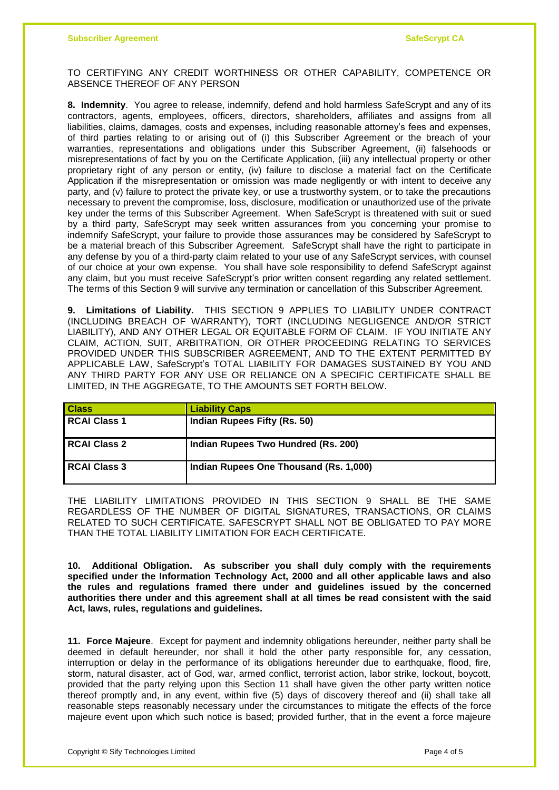TO CERTIFYING ANY CREDIT WORTHINESS OR OTHER CAPABILITY, COMPETENCE OR ABSENCE THEREOF OF ANY PERSON

**8. Indemnity**. You agree to release, indemnify, defend and hold harmless SafeScrypt and any of its contractors, agents, employees, officers, directors, shareholders, affiliates and assigns from all liabilities, claims, damages, costs and expenses, including reasonable attorney's fees and expenses, of third parties relating to or arising out of (i) this Subscriber Agreement or the breach of your warranties, representations and obligations under this Subscriber Agreement, (ii) falsehoods or misrepresentations of fact by you on the Certificate Application, (iii) any intellectual property or other proprietary right of any person or entity, (iv) failure to disclose a material fact on the Certificate Application if the misrepresentation or omission was made negligently or with intent to deceive any party, and (v) failure to protect the private key, or use a trustworthy system, or to take the precautions necessary to prevent the compromise, loss, disclosure, modification or unauthorized use of the private key under the terms of this Subscriber Agreement. When SafeScrypt is threatened with suit or sued by a third party, SafeScrypt may seek written assurances from you concerning your promise to indemnify SafeScrypt, your failure to provide those assurances may be considered by SafeScrypt to be a material breach of this Subscriber Agreement. SafeScrypt shall have the right to participate in any defense by you of a third-party claim related to your use of any SafeScrypt services, with counsel of our choice at your own expense. You shall have sole responsibility to defend SafeScrypt against any claim, but you must receive SafeScrypt's prior written consent regarding any related settlement. The terms of this Section 9 will survive any termination or cancellation of this Subscriber Agreement.

**9. Limitations of Liability.** THIS SECTION 9 APPLIES TO LIABILITY UNDER CONTRACT (INCLUDING BREACH OF WARRANTY), TORT (INCLUDING NEGLIGENCE AND/OR STRICT LIABILITY), AND ANY OTHER LEGAL OR EQUITABLE FORM OF CLAIM. IF YOU INITIATE ANY CLAIM, ACTION, SUIT, ARBITRATION, OR OTHER PROCEEDING RELATING TO SERVICES PROVIDED UNDER THIS SUBSCRIBER AGREEMENT, AND TO THE EXTENT PERMITTED BY APPLICABLE LAW, SafeScrypt's TOTAL LIABILITY FOR DAMAGES SUSTAINED BY YOU AND ANY THIRD PARTY FOR ANY USE OR RELIANCE ON A SPECIFIC CERTIFICATE SHALL BE LIMITED, IN THE AGGREGATE, TO THE AMOUNTS SET FORTH BELOW.

| <b>Class</b>        | <b>Liability Caps</b>                  |
|---------------------|----------------------------------------|
| <b>RCAI Class 1</b> | Indian Rupees Fifty (Rs. 50)           |
| <b>RCAI Class 2</b> | Indian Rupees Two Hundred (Rs. 200)    |
| <b>RCAI Class 3</b> | Indian Rupees One Thousand (Rs. 1,000) |

THE LIABILITY LIMITATIONS PROVIDED IN THIS SECTION 9 SHALL BE THE SAME REGARDLESS OF THE NUMBER OF DIGITAL SIGNATURES, TRANSACTIONS, OR CLAIMS RELATED TO SUCH CERTIFICATE. SAFESCRYPT SHALL NOT BE OBLIGATED TO PAY MORE THAN THE TOTAL LIABILITY LIMITATION FOR EACH CERTIFICATE.

**10. Additional Obligation. As subscriber you shall duly comply with the requirements specified under the Information Technology Act, 2000 and all other applicable laws and also the rules and regulations framed there under and guidelines issued by the concerned authorities there under and this agreement shall at all times be read consistent with the said Act, laws, rules, regulations and guidelines.** 

**11. Force Majeure**. Except for payment and indemnity obligations hereunder, neither party shall be deemed in default hereunder, nor shall it hold the other party responsible for, any cessation, interruption or delay in the performance of its obligations hereunder due to earthquake, flood, fire, storm, natural disaster, act of God, war, armed conflict, terrorist action, labor strike, lockout, boycott, provided that the party relying upon this Section 11 shall have given the other party written notice thereof promptly and, in any event, within five (5) days of discovery thereof and (ii) shall take all reasonable steps reasonably necessary under the circumstances to mitigate the effects of the force majeure event upon which such notice is based; provided further, that in the event a force majeure